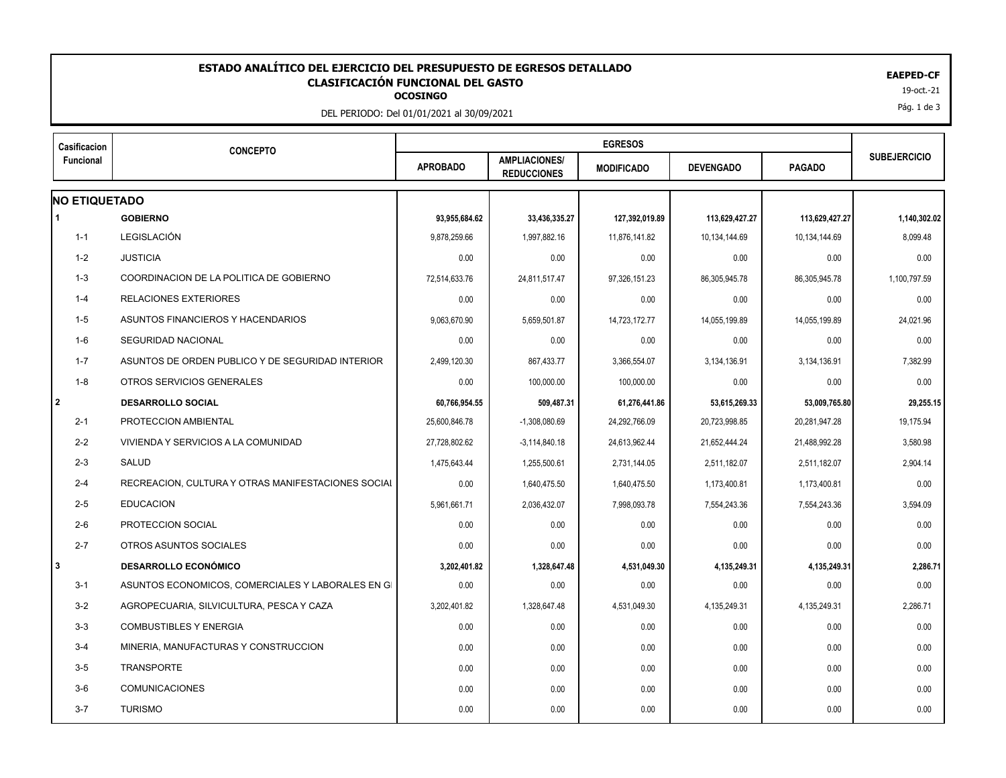## 19-oct.-21 **OCOSINGO ESTADO ANALÍTICO DEL EJERCICIO DEL PRESUPUESTO DE EGRESOS DETALLADO EAEPED-CF CLASIFICACIÓN FUNCIONAL DEL GASTO**

DEL PERIODO: Del 01/01/2021 al 30/09/2021

| Casificacion<br>Funcional | <b>CONCEPTO</b>                                    |                 |                                            |                   |                  |                |                     |
|---------------------------|----------------------------------------------------|-----------------|--------------------------------------------|-------------------|------------------|----------------|---------------------|
|                           |                                                    | <b>APROBADO</b> | <b>AMPLIACIONES/</b><br><b>REDUCCIONES</b> | <b>MODIFICADO</b> | <b>DEVENGADO</b> | <b>PAGADO</b>  | <b>SUBEJERCICIO</b> |
| <b>NO ETIQUETADO</b>      |                                                    |                 |                                            |                   |                  |                |                     |
|                           | <b>GOBIERNO</b>                                    | 93,955,684.62   | 33,436,335.27                              | 127,392,019.89    | 113,629,427.27   | 113,629,427.27 | 1,140,302.02        |
| $1 - 1$                   | <b>LEGISLACIÓN</b>                                 | 9,878,259.66    | 1,997,882.16                               | 11,876,141.82     | 10,134,144.69    | 10,134,144.69  | 8,099.48            |
| $1 - 2$                   | <b>JUSTICIA</b>                                    | 0.00            | 0.00                                       | 0.00              | 0.00             | 0.00           | 0.00                |
| $1 - 3$                   | COORDINACION DE LA POLITICA DE GOBIERNO            | 72,514,633.76   | 24,811,517.47                              | 97,326,151.23     | 86,305,945.78    | 86,305,945.78  | 1,100,797.59        |
| 1-4                       | <b>RELACIONES EXTERIORES</b>                       | 0.00            | 0.00                                       | 0.00              | 0.00             | 0.00           | 0.00                |
| 1-5                       | ASUNTOS FINANCIEROS Y HACENDARIOS                  | 9,063,670.90    | 5,659,501.87                               | 14,723,172.77     | 14,055,199.89    | 14,055,199.89  | 24,021.96           |
| $1-6$                     | <b>SEGURIDAD NACIONAL</b>                          | 0.00            | 0.00                                       | 0.00              | 0.00             | 0.00           | 0.00                |
| $1 - 7$                   | ASUNTOS DE ORDEN PUBLICO Y DE SEGURIDAD INTERIOR   | 2,499,120.30    | 867,433.77                                 | 3,366,554.07      | 3,134,136.91     | 3,134,136.91   | 7,382.99            |
| $1 - 8$                   | OTROS SERVICIOS GENERALES                          | 0.00            | 100,000.00                                 | 100,000.00        | 0.00             | 0.00           | 0.00                |
| $\overline{2}$            | <b>DESARROLLO SOCIAL</b>                           | 60,766,954.55   | 509,487.31                                 | 61,276,441.86     | 53,615,269.33    | 53,009,765.80  | 29,255.15           |
| $2 - 1$                   | PROTECCION AMBIENTAL                               | 25,600,846.78   | $-1,308,080.69$                            | 24,292,766.09     | 20,723,998.85    | 20,281,947.28  | 19,175.94           |
| $2 - 2$                   | VIVIENDA Y SERVICIOS A LA COMUNIDAD                | 27,728,802.62   | $-3,114,840.18$                            | 24,613,962.44     | 21,652,444.24    | 21,488,992.28  | 3,580.98            |
| $2 - 3$                   | SALUD                                              | 1,475,643.44    | 1,255,500.61                               | 2,731,144.05      | 2,511,182.07     | 2,511,182.07   | 2,904.14            |
| $2 - 4$                   | RECREACION, CULTURA Y OTRAS MANIFESTACIONES SOCIAL | 0.00            | 1,640,475.50                               | 1.640.475.50      | 1,173,400.81     | 1,173,400.81   | 0.00                |
| $2 - 5$                   | <b>EDUCACION</b>                                   | 5,961,661.71    | 2,036,432.07                               | 7,998,093.78      | 7,554,243.36     | 7,554,243.36   | 3,594.09            |
| $2 - 6$                   | PROTECCION SOCIAL                                  | 0.00            | 0.00                                       | 0.00              | 0.00             | 0.00           | 0.00                |
| $2 - 7$                   | OTROS ASUNTOS SOCIALES                             | 0.00            | 0.00                                       | 0.00              | 0.00             | 0.00           | 0.00                |
| l 3                       | <b>DESARROLLO ECONÓMICO</b>                        | 3,202,401.82    | 1,328,647.48                               | 4,531,049.30      | 4,135,249.31     | 4,135,249.31   | 2,286.71            |
| $3 - 1$                   | ASUNTOS ECONOMICOS, COMERCIALES Y LABORALES EN GI  | 0.00            | 0.00                                       | 0.00              | 0.00             | 0.00           | 0.00                |
| $3 - 2$                   | AGROPECUARIA, SILVICULTURA, PESCA Y CAZA           | 3,202,401.82    | 1,328,647.48                               | 4,531,049.30      | 4,135,249.31     | 4,135,249.31   | 2,286.71            |
| $3-3$                     | <b>COMBUSTIBLES Y ENERGIA</b>                      | 0.00            | 0.00                                       | 0.00              | 0.00             | 0.00           | 0.00                |
| $3-4$                     | MINERIA, MANUFACTURAS Y CONSTRUCCION               | 0.00            | 0.00                                       | 0.00              | 0.00             | 0.00           | 0.00                |
| $3-5$                     | <b>TRANSPORTE</b>                                  | 0.00            | 0.00                                       | 0.00              | 0.00             | 0.00           | 0.00                |
| $3-6$                     | <b>COMUNICACIONES</b>                              | 0.00            | 0.00                                       | 0.00              | 0.00             | 0.00           | 0.00                |
| $3 - 7$                   | <b>TURISMO</b>                                     | 0.00            | 0.00                                       | 0.00              | 0.00             | 0.00           | 0.00                |

Pág. 1 de 3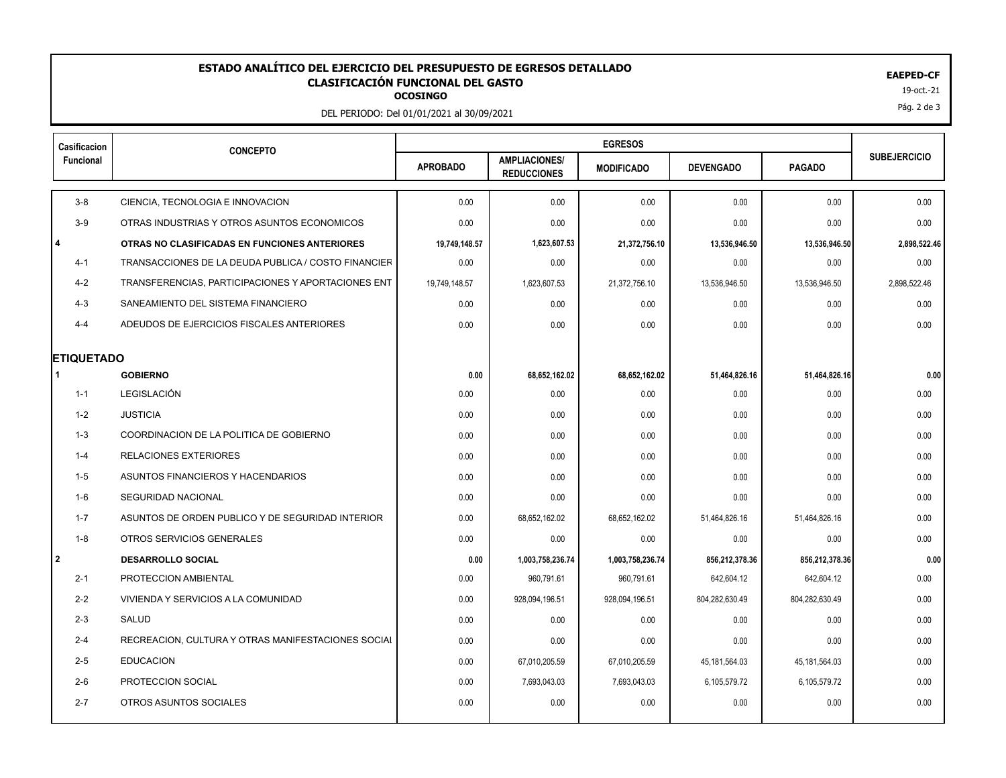## 19-oct.-21 **OCOSINGO ESTADO ANALÍTICO DEL EJERCICIO DEL PRESUPUESTO DE EGRESOS DETALLADO EAEPED-CF CLASIFICACIÓN FUNCIONAL DEL GASTO**

DEL PERIODO: Del 01/01/2021 al 30/09/2021

| Casificacion      | <b>CONCEPTO</b>                                     |                 |                                            |                   |                  |                |                     |
|-------------------|-----------------------------------------------------|-----------------|--------------------------------------------|-------------------|------------------|----------------|---------------------|
| Funcional         |                                                     | <b>APROBADO</b> | <b>AMPLIACIONES/</b><br><b>REDUCCIONES</b> | <b>MODIFICADO</b> | <b>DEVENGADO</b> | <b>PAGADO</b>  | <b>SUBEJERCICIO</b> |
| $3-8$             | CIENCIA, TECNOLOGIA E INNOVACION                    | 0.00            | 0.00                                       | 0.00              | 0.00             | 0.00           | 0.00                |
| $3-9$             | OTRAS INDUSTRIAS Y OTROS ASUNTOS ECONOMICOS         | 0.00            | 0.00                                       | 0.00              | 0.00             | 0.00           | 0.00                |
| $\overline{4}$    | OTRAS NO CLASIFICADAS EN FUNCIONES ANTERIORES       | 19,749,148.57   | 1,623,607.53                               | 21.372.756.10     | 13,536,946.50    | 13.536.946.50  | 2,898,522.46        |
| $4 - 1$           | TRANSACCIONES DE LA DEUDA PUBLICA / COSTO FINANCIER | 0.00            | 0.00                                       | 0.00              | 0.00             | 0.00           | 0.00                |
| $4 - 2$           | TRANSFERENCIAS, PARTICIPACIONES Y APORTACIONES ENT  | 19,749,148.57   | 1,623,607.53                               | 21,372,756.10     | 13,536,946.50    | 13,536,946.50  | 2,898,522.46        |
| $4 - 3$           | SANEAMIENTO DEL SISTEMA FINANCIERO                  | 0.00            | 0.00                                       | 0.00              | 0.00             | 0.00           | 0.00                |
| $4 - 4$           | ADEUDOS DE EJERCICIOS FISCALES ANTERIORES           | 0.00            | 0.00                                       | 0.00              | 0.00             | 0.00           | 0.00                |
| <b>ETIQUETADO</b> |                                                     |                 |                                            |                   |                  |                |                     |
|                   | <b>GOBIERNO</b>                                     | 0.00            | 68,652,162.02                              | 68,652,162.02     | 51,464,826.16    | 51,464,826.16  | 0.00                |
| $1 - 1$           | LEGISLACIÓN                                         | 0.00            | 0.00                                       | 0.00              | 0.00             | 0.00           | 0.00                |
| $1 - 2$           | <b>JUSTICIA</b>                                     | 0.00            | 0.00                                       | 0.00              | 0.00             | 0.00           | 0.00                |
| $1 - 3$           | COORDINACION DE LA POLITICA DE GOBIERNO             | 0.00            | 0.00                                       | 0.00              | 0.00             | 0.00           | 0.00                |
| $1 - 4$           | <b>RELACIONES EXTERIORES</b>                        | 0.00            | 0.00                                       | 0.00              | 0.00             | 0.00           | 0.00                |
| $1 - 5$           | ASUNTOS FINANCIEROS Y HACENDARIOS                   | 0.00            | 0.00                                       | 0.00              | 0.00             | 0.00           | 0.00                |
| 1-6               | <b>SEGURIDAD NACIONAL</b>                           | 0.00            | 0.00                                       | 0.00              | 0.00             | 0.00           | 0.00                |
| $1 - 7$           | ASUNTOS DE ORDEN PUBLICO Y DE SEGURIDAD INTERIOR    | 0.00            | 68,652,162.02                              | 68,652,162.02     | 51,464,826.16    | 51,464,826.16  | 0.00                |
| $1 - 8$           | OTROS SERVICIOS GENERALES                           | 0.00            | 0.00                                       | 0.00              | 0.00             | 0.00           | 0.00                |
| l 2               | <b>DESARROLLO SOCIAL</b>                            | 0.00            | 1,003,758,236.74                           | 1,003,758,236.74  | 856,212,378.36   | 856,212,378.36 | 0.00                |
| $2 - 1$           | PROTECCION AMBIENTAL                                | 0.00            | 960.791.61                                 | 960,791.61        | 642.604.12       | 642.604.12     | 0.00                |
| $2 - 2$           | VIVIENDA Y SERVICIOS A LA COMUNIDAD                 | 0.00            | 928,094,196.51                             | 928,094,196.51    | 804,282,630.49   | 804,282,630.49 | 0.00                |
| $2 - 3$           | SALUD                                               | 0.00            | 0.00                                       | 0.00              | 0.00             | 0.00           | 0.00                |
| $2 - 4$           | RECREACION, CULTURA Y OTRAS MANIFESTACIONES SOCIAL  | 0.00            | 0.00                                       | 0.00              | 0.00             | 0.00           | 0.00                |
| $2 - 5$           | <b>EDUCACION</b>                                    | 0.00            | 67,010,205.59                              | 67,010,205.59     | 45, 181, 564.03  | 45,181,564.03  | 0.00                |
| $2 - 6$           | PROTECCION SOCIAL                                   | 0.00            | 7,693,043.03                               | 7,693,043.03      | 6,105,579.72     | 6,105,579.72   | 0.00                |
| $2 - 7$           | OTROS ASUNTOS SOCIALES                              | 0.00            | 0.00                                       | 0.00              | 0.00             | 0.00           | 0.00                |
|                   |                                                     |                 |                                            |                   |                  |                |                     |

Pág. 2 de 3